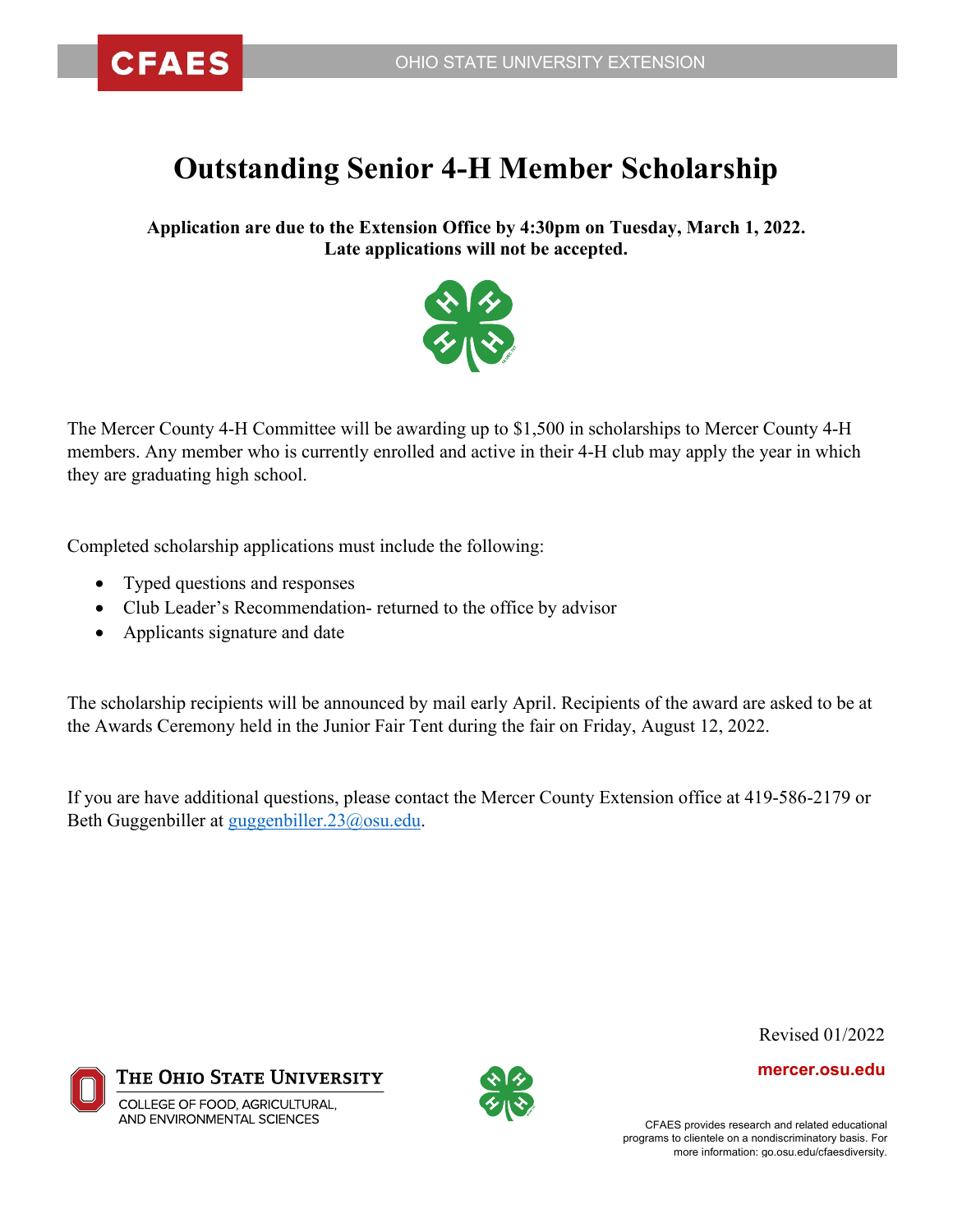## **Outstanding Senior 4-H Member Scholarship**

**Application are due to the Extension Office by 4:30pm on Tuesday, March 1, 2022. Late applications will not be accepted.**



The Mercer County 4-H Committee will be awarding up to \$1,500 in scholarships to Mercer County 4-H members. Any member who is currently enrolled and active in their 4-H club may apply the year in which they are graduating high school.

Completed scholarship applications must include the following:

- Typed questions and responses
- Club Leader's Recommendation- returned to the office by advisor
- Applicants signature and date

The scholarship recipients will be announced by mail early April. Recipients of the award are asked to be at the Awards Ceremony held in the Junior Fair Tent during the fair on Friday, August 12, 2022.

If you are have additional questions, please contact the Mercer County Extension office at 419-586-2179 or Beth Guggenbiller at [guggenbiller.23@osu.edu.](mailto:guggenbiller.23@osu.edu)





Revised 01/2022

**mercer.osu.edu**

CFAES provides research and related educational programs to clientele on a nondiscriminatory basis. For more information: go.osu.edu/cfaesdiversity.